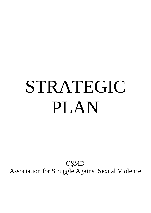# STRATEGIC PLAN

CŞMD Association for Struggle Against Sexual Violence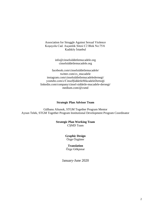Association for Struggle Against Sexual Violence Koşuyolu Cad. Asçamlık Sitesi C2 Blok No:75/6 Kadıköy İstanbul

> info@cinselsiddetlemucadele.org cinselsiddetlemucadele.org

facebook.com/cinselsiddetlemucadele/ twitter.com/cs\_mucadele instagram.com/cinselsiddetlemucadeledernegi/ youtube.com/c/CinselŞiddetleMücadeleDerneği linkedin.com/company/cinsel-siddetle-mucadele-dernegi/ [medium.com/@csmd](https://medium.com/@csmd)

#### **Strategic Plan Advisor Team**

Gülbanu Altunok, STGM Together Program Mentor Aysun Telek, STGM Together Program Institutional Development Program Coordinator

#### **Strategic Plan Working Team** CŞMD Team

#### **Graphic Design** Özge Özgüner

**Translation** Özge Gökpınar

January-June 2020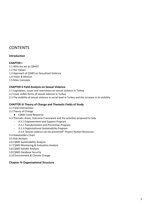# **CONTENTS**

#### **Introduction**

#### **CHAPTER I**

- 1.1 Who are we as CŞMD?
- 1.2 Our Values
- 1.3 Approach of CŞMD on Sexualized Violence
- 1.4 Vision & Mission
- 1.5 Main Concepts

#### **CHAPTER II Field Analysis on Sexual Violence**

- 2.1 Legislation, issues and restrictions on sexual violence in Turkey
- 2.2 Least visible forms of sexual violence in Turkey
- 2.3 The visibility of sexual violence in social level in Turkey and the increase in its visibility

#### **CHAPTER III Theory of Change and Thematic Fields of Study**

- 3.1 Field Intervention
- 3.2 Theory of Change
- CŞMD Covid Response
- 3.3 Thematic Areas, Outcome Framework and the activities proposed to Sida
	- *3.3.1 Empowerment and Support Program*
	- *3.3.2 Transformation and Prevention Program*
	- *3.3.3 Organizational Sustainability Program*
	- *3.3.4 "Sexual violence can be prevented" Project Human Resources:*
- 3.4 Stakeholders Chart
- 3.5 Risk Analysis
- 3.6 CŞMD Sustainability Analysis
- 3.7 CŞMD Monitoring & Evaluation Analysis
- 3.8 CŞMD Gender Analysis
- 3.9 CŞMD Database Security
- 3.10 Environment & Climate Change

#### **Chapter IV Organizational Structure**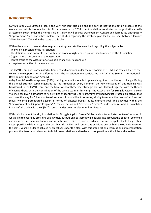#### **INTRODUCTION**

CŞMD's 2021-2023 Strategic Plan is the very first strategic plan and the part of institutionalization process of the Association, which has reached its 5th anniversary. In 2018, the Association conducted an organizational selfassessment study under the mentorship of STGM (Civil Society Development Center) and formed its anticipatory "Improvement Plan"; and it has implemented studies regarding the strategic plan for the one year between January 2019 - January 2020 within the scope of this plan.

Within the scope of these studies; regular meetings and studies were held regarding the subjects like:

- The vision & mission of the Association
- The definitions and concepts used within the scope of rights-based policies implemented by the Association
- Organizational documents of the Association
- Target group of the Association, stakeholder analysis, field analysis
- Long-term activities of the Association.

The CŞMD team both participated in trainings and meetings under the mentorship of STGM, and availed itself of the consultancy support it gets in different fields. The Association also participated in SIDA's (The Swedish International Development Cooperation Agency)

4-day Result-Based Management (RBM) training, where it was able to gain an insight into the theory of change. During the annual strategy camp organized by the Association every summer, the key messages of this training was transferred to the CŞMD team; and the framework of three-year strategic plan was tailored together with the theory of change there, with the contribution of the whole team in this camp. The Association for Struggle Against Sexual Violence has given a structure to its activities by identifying 3 core programs by specifying its strategic objectives that can pave the way for 3 kinds of transformations it would like to observe, aiming to reduce the cases of all forms of sexual violence perpetrated against all forms of physical beings, as its ultimate goal. The activities within the "Empowerment and Support Program", "Transformation and Prevention Program", and "Organizational Sustainability Program" also tally with the CŞMD's core activities being implemented for 5 years.

With this document herein, Association for Struggle Against Sexual Violence aims to indicate the transformation it would like to ensure by providing all activities, outputs and outcomes while taking into account the political, economic and social circumstances in Turkey; and with this way, it aims to form a road map that can be applicable to the greatest extent possible while managing the possible risks. CŞMD will conduct its activities on combating sexual violence for the next 3 years in order to achieve its objectives under this plan. With this organizational learning and implementation process, the Association also aims to build closer relations and to develop cooperation with all the stakeholders.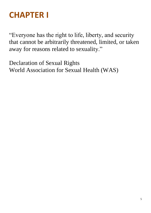# **CHAPTER I**

"Everyone has the right to life, liberty, and security that cannot be arbitrarily threatened, limited, or taken away for reasons related to sexuality."

Declaration of Sexual Rights World Association for Sexual Health (WAS)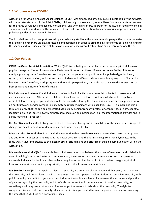#### **1.1 Who are we as CŞMD?**

Association for Struggle Against Sexual Violence (CŞMD); was established officially in 2014 in Istanbul by the activists, who have taken/take part in feminist, LGBTI+, children's rights movements, animal liberation movements, movement for the rights of refugees and ecology movements, and who make efforts in order for the issue of sexual violence in Turkey to be addressed as a matter of concern by an inclusive, intersectional and empowering approach despite the polarized gender binary system in Turkey.

The Association conducts support, workshop and advocacy studies with a queer feminist perspective in order to make the sexual violence more visible, addressable and debatable; in order to bring the invisible forms of sexual violence to the agenda and to struggle against all forms of sexual violence without establishing any hierarchy among them.

#### **1.2 Our Values**

**CŞMD is a Queer Feminist Association:** While CŞMD is combating sexual violence perpetrated against all forms of physical beings in different forms and manifestations, it notes that these different forms are fed by different or multiple power systems / mechanisms such as patriarchy, general and public morality, polarized gender binary system, racism, nationalism, and speciesism; and it devotes itself to act without establishing any kind of hierarchy between them. Therefore, it adopts queer and feminist perspectives / methods that can allow the intersection of both similar and different fields of struggle.

**It is Inclusive and Intersectional:** It does not define its field of activity as an association limited to serve a certain area such as women, LGBTI+, youth or children. Sexual violence is a form of violence which can be perpetrated against children, young people, elderly people, persons who identify themselves as a woman or man, persons who do not fit into any gender in gender binary system, refugees, persons with disabilities, LGBTI+, animals; and it is a form of violence that the can be perpetrated against any person from any profession, gender, social class, country, ideology, belief and lifestyle. CŞMD embraces this inclusion and intersection in all the information it provides and in all the materials it produces.

**It is Creative and Flexible:** It always cares about experience sharing and sustainability. At the same time, it is open to change and development, new ideas and methods while being flexible.

**It has a Critical Point of View** It acts with the assumption that sexual violence is a matter directly related to power and authority. It questions and criticizes the power dynamics and the norms arising from these dynamics. In the same way, it gives importance to the mechanisms of criticism and self-criticism in building communication within the Association.

**It is anti-hierarchical:** CŞMD is an anti-hierarchical association that believes the power of teamwork and solidarity. In case of building internal and external communication, it embraces the open communication and transparency approach. It does not establish any hierarchy among the forms of violence; it is in a constant struggle against all forms of sexual violence, while giving priority to the invisible forms of sexual violence.

**It is Sex-Positive:** CŞMD has a point of view that sexuality is a common phenomenon and that everyone can enjoy their sexuality in different forms and in various ways. It respects personal values. It does not associate sexuality with public morality, nor limit it to gender norms. It does not establish any hierarchy between the attitudes and practices of persons regarding their sexuality and it defends the consent and communication. It considers sexuality, as something shall be spoken-out loud and it encourages the persons to talk about their sexuality. The right to comprehensive and inclusive sexuality education, which is implemented from a sex-positive perspective, is among the areas that CŞMD built as a part of its struggle.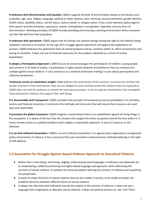**It embraces Anti-Discrimination and Equality:** CŞMD is against all kinds of discrimination based on the factors such as gender, age, race, religion, language, political or other opinion, class, ethnicity, sexual orientation, gender identity, health status, disability status, marital status, asylum seeker or refugee status. It has a zero tolerance policy against hate speech and discrimination, speciesism, sexism, homophobia / transphobia / biphobia, and any form of discrimination. Working principles of CŞMD include providing and ensuring a working environment where everyone can feel safe and free from prejudices.

**It embraces Anti-speciesism:** CŞMD argues that all animals are sentient beings having the right to live without being exploited, tortured or ill treated. As the sign of its struggle against speciesism and against the exploitation of animals; CŞMD embraces the abstention from all animal products and by- products within its office environment and during its activities. It does not use its financial resources for the products obtained as a result of animal exploitation.

**It adopts a Participatory Approach:** CŞMD focuses on and encourages the participation of children, young people and survivors in its field of studies. It participates in rights-based networks and platforms that can enhance the combat against sexual violence. It uses consensus as a method of decision-making; it cares about participation and collective production.

**Testimony carries an evidentiary weight:** CŞMD believes the testimonies of the survivors. Survivors do not bear the burden of proof in their testimonies, they are not obliged to prove and document the violence they are exposed to. CŞMD does not look for evidence to initiate the necessary processes. It acts to operate mechanisms that strengthen those exposed to violence and support their well-being.

**It is Accountable and Transparent:** CŞMD considers the principle of transparency and accountability in its activities, actions and financial resources. It constructs the methods and structures that will ensure that resources are used wise and responsibly.

**It promotes the global ecosystem:** CŞMD imagines a world where there is no exploitation against all living things in the ecosystem. It is aware of the fact that the climate crisis targets the entire ecosystem and all the lives within it. It treats climate justice as a political problem and it adopts a responsible approach. It uses its resources in this direction.

**It is an Anti-militarist Association:** CŞMD is an anti-militarist association, it is against every organized or unorganized policy and practice of violence; it has a structure that uses nonviolent communication methods believing in the right of self-defense.

# **1.3 Association for Struggle Against Sexual Violence Approach to Sexualized Violence**

- Rather than a mercifying, victimizing, judging, embarrassing social language; it embraces and advocates for an empowering, solidarity promoting and rights-based language and approach, while addressing the survivors of sexual violence. It combats the social perception blaming the survivor of violence and acquitting the perpetrator.
- It works to make the forms of sexual violence that are less visible in society, to be visible and does not establish hierarchy between different forms of sexual violence.
- It adopts the idea that each individual may be the subject or the survivor of violence. It does not use a language that marginalizes or alienates sexual violence; it does not polarize persons as "we" and "they".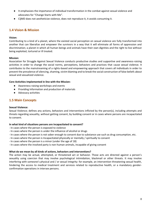- It emphasizes the importance of individual transformation in the combat against sexual violence and advocates for "Change Starts with Me".
- CŞMD does not aestheticize violence, does not reproduce it, it avoids consuming it.

#### **1.4 Vision & Mission**

#### **Vision:**

Contributing to a kind of a planet, where the existed social perception on sexual violence are fully transformed into another that can liberalize and empower the survivors in a way that it will eliminate all forms of oppression and discrimination; a planet in which all human beings and animals have their own dignities and the right to live without being exploited, tortured or ill treated.

#### **Mission:**

Association for Struggle Against Sexual Violence conducts productive studies and supportive and awareness-raising activities in order to change the social norms, perceptions, behaviors and practices that cause sexual violence. It contributes to the mainstreaming of a rights-based and empowering approach that covers all individuals in order to prevent the prevalence of silencing, shaming, victim blaming and to break the social construction of false beliefs about sexual and sexualized violence.

#### **Core Activities Implemented in line with the Mission:**

- Awareness-raising workshops and events
- Providing Information and production of materials
- Advocacy activities

#### **1.5 Main Concepts**

#### **Sexual Violence:**

Sexual Violence; defines any actions, behaviors and interventions inflicted by the person(s), including attempts and threats regarding sexuality, without getting consent, by building consent or in cases where persons are incapacitated to consent.

#### **In what kind of situations persons are incapacitated to consent?**

- In cases where the person is exposed to violence
- In cases where the person is under the influence of alcohol or drugs
- In cases where the person is not sober enough to consent due to substance use such as drug consumption, etc.
- In cases where the person is Incapacitated physically or mentally / spiritually to consent
- In cases where the person is a minor (under the age of 18)
- In cases where the involved party is non-human animals, incapable of giving consent

#### **What do we mean by all kinds of actions, behaviors and interventions?**

The action may be actual, attempted, or threatened act or behavior. Those acts are directed against a person's sexuality using coercion that may involve psychological intimidation, blackmail or other threats. It may involve interfering with someone's physical and / or sexual integrity: for example, an intervention threatening sexual health, hindering the access to medical treatment and services related to reproductive health, or a mandatory genderconfirmation operations in intersex persons.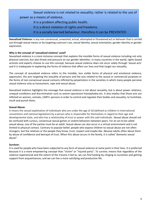# Sexual violence is not related to sexuality; rather is related to the use of power as a means of violence.

- It is a problem affecting public health.
- It is a direct violation of rights and freedoms.
- It is a socially learned behaviour, therefore it can be PREVENTED

**Sexualized Violence:** is any non-consensual, unwanted, actual, attempted or threatened act or behavior that is carried out through sexual means or by targeting a person's sex, sexual identity, sexual orientation, gender identity or gender expression.

#### **Why is the concept of 'sexualized violence' used?**

Sexualized violence is a more inclusive concept that explains the invisible forms of sexual violence including not only physical coercion, but also threat and pressure on our gender identities. In many countries in the world, rights-based activists and experts choose to use this concept, because sexual violence does not occur solely through 'sexual acts' and it is inadequate in explaining the forms of violence that affect our lives and that target our sexuality.

The concept of sexualized violence refers to the invisible, less visible forms of physical and emotional violence, oppression, the acts targeting the sexuality of persons and the acts related to the sexual or commercial purposes or the forms of non-consensual sexual contacts inflicted by perpetrators in the societies in which many people perceive sexual violence only as harassment, rape and sexual abuse.

Sexualized violence highlights the message that sexual violence is not about sexuality, but is about power relations, unequal conditions and discrimination such as sexism-speciesism-homophobia etc. It also implies that those acts are inflicted on women, animals, LGBTI+ persons in order to control and regulate their bodies and sexuality; to humiliate, insult and punish them.

#### **Sexual Abuse:**

It means the sexual exploitation of individuals who are under the age of 18 (defined as children in international conventions and national legislation) by a person who is responsible for themselves in regard to their age and developmental state, and who has a relationship of trust or power with the said individuals. Sexual abuse should not be confused with curious, consensual sexual games or violent behaviors between peers. For an act to be called sexual abuse, one of the parties must be an adult. Sexual abuse can also occur in a virtual environment and is not limited to physical contact. Contrary to popular belief, people who expose children to sexual abuse are not often strangers, but the relatives or the people they know, trust, respect and maybe like. Abusive adults often abuse them by abuse of confidence and betrayal of trust. When this abuse occurs in the family, it is called "domestic sexual abuse".

#### **Survivor:**

It is used for people who have been subjected to any form of sexual violence at some point in their lives. It is preferred because it is a more empowering concept than "victim" or "injured party". To survive; means that regardless of the violence experienced and the extent of the trauma it led to, we can find healing by clinging to ourselves and getting support from acquaintances, and we can live a more satisfying and productive life.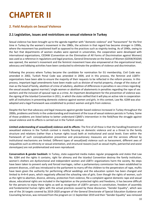# **CHAPTER II**

# **2. Field Analysis on Sexual Violence**

### **2.1 Legislation, issues and restrictions on sexual violence in Turkey**

Sexual violence has been brought up to the agenda together with "domestic violence" and "harassment" for the first time in Turkey by the women's movement in the 1980s, the activism in that regard has become stronger in 1990s, where the movement has positioned itself as opposed to the practices such as virginity testing. As of 1990s, owing to the fact that departments of women studies were opened in universities, the cooperation were developed with international organizations, CEDAW (Convention on the Elimination of All Forms of Discrimination against Women) was used as a reference in regulations and legal practices, General Directorate on the Status of Women (GDSW/KSGM) was opened, the women's movement and the feminist movement have also empowered at the organizational level, advocacy and lobbying activities have been conducted to eliminate the problems of violence and discrimination.

Following the process where Turkey became the candidate for nomination for EU membership, Civil Code was amended in 2002, Turkish Penal Code was amended in 2004, and in this process, the feminist and LGBTI+ organizations have been able to ensure the majority of their requests to be reflected in the reform process. In this process, important legal amendments have been made such as division of marital property, change of the status of man as the head of family, abolition of crime of adultery, abolition of differences in penalties in sex crimes regarding the sexual assaults against married / single women or abolition of abatements in penalties regarding the rape of sex workers and the inclusion of spousal rape as a crime. An important development for the prevention of violence was the signing of the Istanbul Convention in 2011, in which the state ratified that it will play an active role in cooperation with all institutions in preventing domestic violence against women and girls. In this context, Law No. 6284 was also adopted and a legal framework was established to protect women and girls from violence.

Despite the fact that advocacy and legal measures against gender based violence increased in Turkey throughout the 2000s, problems and limits in the understanding and treatment of the issue of sexual violence persists in Turkey. Some of those problems are listed below to better understand CŞMD's intervention in the field/how the struggle against sexual violence and its effects is carried out in the Turkish context.

**Limited understanding of sexual(ized) violence and its effects:** The first of all these is that the handling/treatment of sexualized violence in the Turkish context is mostly focusing on domestic violence and as a threat to the family structure and relations (rather than a human rights issue) both at institutional and social levels. Even within the framework of such conceptualization preventive and precautionary measures are and the services offered by institutional mechanisms are limited. Different types of sexual(ized) violence such as harassment, different axes of inequalities such as ethnicity or sexual orientation, and structural reasons (such as sexual myths, patriarchal and sexist stereotypes) are not problematized and even reproduced.

**Conservatism & gender backlash:** In Turkey, state-supported media makes regular propaganda and states that Law No. 6284 and the rights it contains, right for alimony and the Istanbul Convention destroy the family institution, women's shelters are dysfunctional and independent women and LGBTI+ organizations harm the society. No steps have been taken to prevent early and forced marriages, rather a parliamentary commission has been established to prevent divorces, a bill was introduced to the parliament to marry off the children to the perpetrators of rape, muftis have been given the authority for performing official weddings and the education system has been changed and limited to 4+4+4 years, which negatively affected the schooling rate of girls. Even though the rights of women, such as the right to abortion, divorce, alimony, protection from violence, file a complaint against domestic rape and sexual abuse, educational rights are included in the legislation as the protected rights and freedoms, it has become difficult for the persons to enjoy these rights as well as recognition of LGBTI+ persons in constitution, freedom of assembly and fundamental human rights with the actual practices caused by these discourses. "Gender Equality", which was one of the 26 targets covered by 2019-2020 program of the General Directorate of Special Education Guidance and Counseling Services, was removed from the program on 11 September 2019 and then "Gender Equality" was removed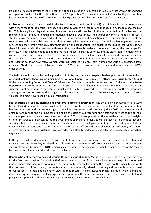from the all field of activities of the Ministry of National Education's Regulation on Social Services with an amendment on regulation published in the Official Gazette on 12 September 2019. In addition to that, Council of Higher Education has removed the Certificate of Attitude on Gender Equality sent to all university rectors from its website.

**Problems in practice:** As mentioned, in the Turkish context the issue of sexual(ized) violence is treated selectively, with a mere focus on domestic violence. It is stated by women's organizations that despite its inadequacy, the Law No. 6284 is a significant legal document, however there are still problems in the implementation of the law and the relevant public staff has not enough information and level of awareness. The number of women's shelters in Turkey is still far below the numbers expected and there is no monitoring and evaluation study regarding the quality of the service provided there. Public institutions do not provide information and support to civil society regarding support services and they refrain from providing their opinion and collaboration. It is observed that public institutions do not share information with the media or with each other, and there is no decent coordination other than some specific services. It is not known who is behind the mechanism controlling the services, and the state seems to monitor and control its own services. However, there is no current research about violence against women and sexual violence that the state has shared with the public the most updated one is dated on 2014. State does not publish statistical data and research to show how many women were subjected to violence; how women and girls are protected from violence. Discrimination and violence to which LGBTI+ persons are exposed to are addressed only by LGBTI+ organizations.

**The Deficiencies in mechanism and in practice**: Within Turkey, **there are no specialized support units for the survivors of sexual violence. There are no units such as National Emergency Response Hotline, Rape Crisis Center, Sexual Violence Counseling Center and** *"Sexual Crimes Unit"* **or similar units in the Prosecutor's Office or in the Police Department.** Since the existence and functions of such units are not known to the public, the issue of supporting the survivors is not brought up to the agenda enough and the public is mostly discussing the impunity of the perpetrators. State agencies do not assume the obligations of preventing and protecting the survivors; the concept of "sexual violence" is almost never used by public institutions.

**Lack of public-civil society dialogue and problems in access to information:** The policy on violence, which has always been eclectic/fragmental in Turkey, could not reach to a holistic perspective due to the fact that the communication between the state and civil society organizations has been interrupted thoroughly since 2015. Non-governmental organizations cannot find a ground for bringing up the deficiencies regarding the rights and services to the agenda, and the organizations that call themselves feminist or LGBTI+ or the organizations that raise the violations of the rights of different groups are presented by the government as marginal organizations and even as a threat to national security. State of Emergency and then the transition to presidential government system in Turkey affected the functioning of bureaucratic and institutional structures and affected the coordination and efficiency of support systems for the survivors of violence negatively which are already inadequate, and affected the access to information negatively.

In this period, where democratic rights were limited on the grounds of security measures, where polarization and violence cases in the society escalated, it is observed that the number of sexual violence cases has increased and vulnerable groups (refugees, LGBTI+ persons, children, women, persons with disabilities, animals, etc.) of the society became more vulnerable to the risk of sexual violence.

**Reproduction of patriarchal sexist discourse through media channels:** Media, which is identified as a strategic area for the first time by Beijing Declaration Platform for Action, is one of the areas where gender inequality is observed most in Turkey. The increasing pressure on the media in the new era has limited the capacity of the media to approach the practices or policies critically, the contents produced are mostly tabloid or sporting and the media has continued to reproduce its problematic point of view in that regard. The mainstream media maintains male dominant, discriminatory and marginalizing language and perception, and the news on sexual violence do not have a rights-based perspective approach, rather victim-blaming approach are being spread at the social level.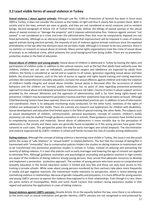### **2.2 Least visible forms of sexual violence in Turkey**

**Sexual violence / abuse against animals:** Although Law No. 5199 on Protection of Animals has been in force since 2004 in Turkey, it does not consider the animals as the holder of right and thus it clearly fails to protect them. Both in society and in the laws, animals are seen as goods, and they are not considered as social creatures and as sentient beings. Second paragraph of Article 151 of Turkish Penal Code, defines the killings of owned animals or the sexual abuse of owned animals as "damage the property" and it imposes administrative fine. Violence against animals "not owned" is not considered as a crime and even the administrative fines that must be compulsorily imposed are not fined persistently. Although as an electoral pledge it is stated that imprisonment will be imposed in cases of violence against animals during election periods, the impunity of acts of violence against animals continues since the expected amendments in the law after the elections have not yet been made. Although it is known to be very common, there is no statistics or research on sexual abuse of animals. Many animal rights organizations treat the crime of sexual abuse of animals as an individual crime, which prevents the social background from being visible. There are no preventiveprotective studies in the field of education.

**Sexual abuse of children and young people:** Sexual abuse of children is addressed in Turkey by leaving the rights and participation of children aside. In addition to the cultural reasons, such as the fact that adults have authority over the children, children are not seen as individuals, unconditional respect and obedience are expected by adults from children, the family is considered as sacred and as superior to all values, ignorance regarding sexual abuse and false beliefs; the structural reasons, such as the lack of access to regular and rights-based training and raising awareness activities like comprehensive sexuality education, increase the sexual offences against children and make the violation of children's bodily integrity and sexual abuse invisible. Sexual abuse is discussed after the occurrence of violent behaviors and the children are harmed, public institutions has no point of view regarding preventive-protective approach to sexual abuse and adequate preventive measures are not taken. Course of action in abuse support services provided by the relevant Ministries and the approach of administrative staff is far from being rights-based and preventive. Children may be exposed to secondary traumas and their statements may not be taken seriously. Although Child Monitoring Centers have been opened, there are no standardized practices yet. In addition to lack of information and coordination, there is no adequate monitoring study conducted. On the other hand, violations of the rights of children are widespread in the media. There are scarcely any research and applications for children with disabilities. Sexual development and education find limited space in the field of special training, like other fields. The subjects such as sexual development of children, communication, personal boundaries, concept of consent, children's bodily autonomy can only be studied through guidance counselors in schools, these guidance counselors have limited access to empowering resources and materials. Sexual abuse of adolescents is more invisible due to the perception of adolescents in the society and these cases are generally found acceptable as if the young persons have given their consents to such cases. This perspective paves the way for early marriages and school dropouts. The discrimination and violence experienced by LGBTI+ children in school and family increase the rate of suicides among adolescents.

**Dating violence:** Although the concept of dating violence is becoming more visible in Turkey, this issue is not discussed within the scope of "safe relations" or "sexual health" in related platforms. The fact that the concept of dating/flirt is harmonized with "immorality" due to conservative policies hinders the studies on dating violence to mainstream and to be transformed into preventive protective studies in schools in Turkey. Instead of reducing and preventing the severity of dating violence, it is seen that policies such as early marriages and lowering the age of consent are applied to eliminate flirts. Although guidance counselors and psychological counseling and guidance teachers in high schools are aware of the incidents of dating violence among young persons, they cannot find adequate resources to develop and implement a preventive - protective approach. The number of young persons who have access to comprehensive sexuality education in the formal education system is limited and very few and those can only have access to this training in private schools. While news about young persons murdered by their partners take place more frequently in media and get negative reactions; the mainstream media maintains its perspective, which is victim-blaming and normalizing violence in relationships. Because of gender inequality and prejudices, it is more difficult for young women and young LGBTI+ persons to express the violence they exposed to in their relationships. Even though it is rare, there are some centers of municipalities, NGOs and some Youth Centers that conduct raising awareness studies in that regard and welcome the applications in cases of dating violence.

**Sexual violence against LGBTI+ persons:** Despite Article 10 on the equality before the law, since there is no reference to the terms such as sexual orientation and gender identity, LGBTI+ persons are not recognized in and protected by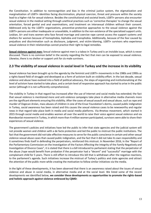the Constitution. In addition to nonrecognition and bias in the criminal justice system, the stigmatization and marginalization of LGBTI+ identities facing discrimination, physical coercion, threat and pressure within the society lead to a higher risk for sexual violence. Besides the constitutional and societal levels, LGBTI+ persons also encounter sexual violence in the medical setting through unethical practices such as 'corrective therapies' to change the sexual orientation, forced genital and anal examinations, and treatment on intersexual children without their consent. Addressed only by the LGBTI+ organizations, preventive-protective approaches to the sexual violence against the LGBTI+ persons are either inadequate or unavailable, in addition to the non-existence of the specialized support units. Lesbian, bi+ and trans women who face forced marriage and coercive rape cannot access the support systems and shelters for women because of homophobia, biphobia and transphobia. Additionally, because of the fear caused by prejudices and discrimination such as disclosure, judgment, and victim-blaming, LGBTI+ survivors who experience sexual violence in their relationships cannot practice their right to legal remedies.

**Sexual violence against men:** Sexual violence against men is a taboo in Turkey and is an invisible issue, which is never discussed. There is no common belief in the society regarding the fact that men can be exposed to sexual violence. Likewise, there is no shelter or support unit for cis-male survivors.

### **2.3 The visibility of sexual violence in social level in Turkey and the increase in its visibility**

Sexual violence has been brought up to the agenda by the feminist and LGBTI+ movements in the 1980s and 1990s as a rights-based field of struggle and developed as a form of activism built on visibility effort. In the last decade, sexual violence and abuse have evolved into a field of political advocacy, the steps of organizing and institutionalizing at the level of activism have started to take place, and a certain level of responsive approach has started to arise in the public sector (although it is not sufficiently comprehensive).

The visibility in Turkey in that regard has increased after the use of Internet and social media has extended; the fact that sexual violence is mentioned more and anti-violence campaigns take place in alternative media channels more are the significant elements ensuring this visibility. After the cases of sexual assault and sexual abuse, such as rape and murder of Ozgecan Arslan, mass abuses of children in one of the Ensar Foundation's dorms, caused public indignation in Turkey, social awareness has been raised and this causes the sexual violence cases to be newsworthy and regular news in that regard take place both in media and social media platforms. Via #metoo movement, which started in 2015 through social media and enables women all over the world to raise their voice against sexual violence and via #sendeanlat movement in Turkey, in which more than 4 million women participated, survivors were able to share their experiences of sexual violence.

The government's policies and initiatives have led the public to infer that state agencies and the judicial system will not provide women and children with a de facto protection and led the public to mistrust the public institutions. The fact that the government did not take effective measures to serve for the public conscience in certain and other sexual violence-sexual abuse cases that caused public indignation, and the fact that it did not take its own responsibility and it sometimes finds itself in defending the perpetrators, reinforced this mistrust. In November 2016, in the "Report of the Parliamentary Commission on the Investigation of the Factors Affecting the Integrity of the Family Negatively and Investigation of Divorce Cases", it is stated that there is a bill introduced to parliament stating that the perpetrator of the abuse /rape would benefit from probation if the perpetrator had a "decent" and "successful" marriage with the complainant child for 5 years. There is still effort to introduce this bill that is withdrawn after the negative reactions, to the parliament's agenda. Such initiatives increase the mistrust of Turkey's politics and state agencies and attract the attention of the public more while creating the motivation to follow similar initiatives via the media.

In the light of these developments, it has been observed that there is an awareness raised about the issues of sexual violence and abuse in social media, in alternative media and at the social level. We listed some of the recent developments we identified below, **we consider these developments as opportunities to promote the rights-based and holistic approach against violence embraced by CŞMD:**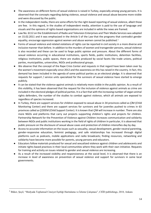- The awareness on different forms of sexual violence is raised in Turkey, especially among young persons. It is observed that the concepts regarding dating violence, sexual violence and sexual abuse become more visible and were discussed by the public.
- In the independent media, there are some efforts for the right-based reporting of sexual violence, albeit those are few. In this regard, in the studies of independent media, attention is paid to the use of language and visuals and the opinions of rights-based organizations are included in while the news are framed.
- Law No. 6112 on the Establishment of Radio and Television Enterprises and Their Media Services was adopted on 15.02.2011 and it was emphasized in the Article S of the Law that the programs that contradict gender equality, encourage oppression against women and abuse women cannot be published. $1$
- Forms of sexual violence and related violations of rights can be reported in civil society in a more diverse and inclusive manner than before. In addition to the murders of women and transgender persons, sexual violence is also recorded and these can be used to forge public opinion and pressure. About the different forms of sexual violence occurring in educational institutions, sports fields, public institutions, detention facilities, religious institutions, public spaces, there are studies produced by social facets like trade unions, political parties, municipalities, universities, NGOs and professional groups.
- We observe that the concept of the Rape Crisis Center and requests in that regard have been taken over by the women's movement especially since 2012 and the awareness on this has raised in the country. In fact, this demand has been included in the agenda of some political parties as an electoral pledge. It is observed that requests for support / service units specialized for the survivors of sexual violence have started to emerge publicly.
- It can be stated that the violence against animals is relatively more visible in the public opinion. As a result of this visibility, it has been observed that the request for the inclusion of violence against animals as crime are included in the electoral pledges of political parties. It is a fact that with the increasing number of vegan animal rights defenders, the number of the studies to combat against violence, which all animals are exposed to regardless of species increased.
- In Turkey, there are support services for children exposed to sexual abuse in 34 provinces called as ÇİM (Child Monitoring Center) and there are support services for survivors and for juveniles pushed to crimes in 63 provinces called as ÇODEM (Child Support Center). It is known that ÇİM will increase in number. There are also more NGOs and platforms that carry out projects supporting children's rights and projects for children. Partnership Network for the Prevention of Violence against Children increases communication and solidarity between NGOs and public institutions working in the field of rights of children In particular, it is observed that public pressure on the disclosure of sexual abuse cases and protection of children intensifies day by day.
- Access to accurate information on the issues such as sexuality, sexual development, gender neutral parenting, gender-responsive education, feminist pedagogy, and safe relationships has increased through digital platforms such as podcasts, mobile applications and radio broadcasts; finding resources, networking and solidarity have become more possible for parents, young persons and educators.
- Educators follow materials produced for sexual and sexualized violence against children and adolescents and initiate rights-based practices in their local communities where they work with their own initiative. Requests for training and activity on issues related to gender and sexual violence are increasing.
- As a result of the increased visibility and responsiveness at the social level, it is observed that there is an increase in level of awareness on prevention of sexual violence and support for survivors in some local governments.

<sup>1</sup> Büker, Şeçil, "Medyada Toplumsal Cinsiyet Eşitliği Haritalama ve İzleme Çalışması", CEİD publishings, 2018, Ankara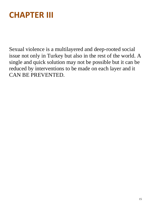# **CHAPTER III**

Sexual violence is a multilayered and deep-rooted social issue not only in Turkey but also in the rest of the world. A single and quick solution may not be possible but it can be reduced by interventions to be made on each layer and it CAN BE PREVENTED.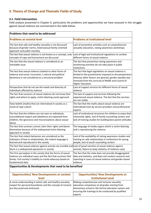# **3. Theory of Change and Thematic Fields of Study**

#### **3.1. Field Intervention**

Field analysis presented in Chapter II, particularly the problems and opportunities we have assessed in the struggle against sexual violence are summarized in the table below.

| Problems that need to be addressed                                                                                                                                                                                 |                                                                                                                                                                                                                                                           |  |
|--------------------------------------------------------------------------------------------------------------------------------------------------------------------------------------------------------------------|-----------------------------------------------------------------------------------------------------------------------------------------------------------------------------------------------------------------------------------------------------------|--|
| <b>Problems at societal level</b>                                                                                                                                                                                  | <b>Problems at institutional level</b>                                                                                                                                                                                                                    |  |
| The fact that safe and healthy sexuality is not discussed<br>because of gender norms, heterosexual family-oriented<br>approach and public morality                                                                 | Lack of preventive activities such as comprehensive<br>sexuality education, raising awareness workshops                                                                                                                                                   |  |
| The fact that sexual violence is not known as a concept, only<br>concepts of rape and harassment are discussed                                                                                                     | Lack of legal and institutional regulations to combat<br>different forms of sexual violence                                                                                                                                                               |  |
| The fact that the sexual violence is considered as an<br>inevitable issue                                                                                                                                          | The fact that preventive raising awareness and<br>monitoring activities do not take place in public<br>institutions                                                                                                                                       |  |
| The fact that sexual violence (related to other forms of<br>violence and social / economic / cultural and political<br>dynamics) is not considered as a structural problem                                         | The fact that legal regulations on sexual violence is<br>limited to the punishments imposed on the perpetrators<br>whereas other factors are ignored, gender equality was<br>removed from the curricula of MoNE and Council of<br><b>Higher Education</b> |  |
| Perspectives that do not see the needs and diversity of<br>individuals affected by violence                                                                                                                        | Lack of support services for different forms of sexual<br>violence                                                                                                                                                                                        |  |
| The fact that survivors of sexual violence do not know their<br>rights and where to apply, victim-blaming social approach                                                                                          | The lack of support and services following the<br>experienced sexual violence. The fact that the services<br>are not visible                                                                                                                              |  |
| False beliefs (myths) that are internalized in society as a<br>result of rape culture                                                                                                                              | The fact that the myths about sexual violence are<br>internalized even by service providers and professional<br>experts                                                                                                                                   |  |
| The fact that the children are not seen as individuals,<br>unconditional respect and obedience are expected from<br>children, the ignorance and misconceptions about sexual<br>abuse                               | Lack of institutional structures for children to enjoy their<br>citizenship rights, lack of family counseling centers and<br>lack of training studies for building best parent attitudes                                                                  |  |
| The fact that survivors cannot claim their rights and blame<br>themselves because of the widespread victim blaming<br>approach in society                                                                          | The language of media organs which is victim blaming<br>and is reproducing the violence                                                                                                                                                                   |  |
| The fact that violent behaviors are considered as the<br>indicators of love in relationships, the violent language is<br>learned and reproduced in the society                                                     | Lack of the availability of raising awareness studies and<br>training on safe relationships in institutions for young<br>people, lack of youth counseling centers                                                                                         |  |
| The fact that sexual violence against animals are invisible and Lack of penal sanction of sexual violence against<br>there is a widespread speciesism in society                                                   | animals, failure to keep statistics of violence cases                                                                                                                                                                                                     |  |
| The firm perception in the society that the forms of sexual<br>violence are individual cases and the fact that survivors feel<br>lonely. Civil society's inability to create advocacy based on<br>fundamental data | The fact that the state does not provide disaggregated<br>data and statistics, and does not conduct research and<br>reporting in cases of sexual violence and gender-based<br>violence                                                                    |  |

#### **Opportunities & Developments that need to be benefited**

| <b>Opportunities/ New Developments at societal</b>                                                                                                      | <b>Opportunities/ New Developments at</b>                                                                                                                                                                                  |
|---------------------------------------------------------------------------------------------------------------------------------------------------------|----------------------------------------------------------------------------------------------------------------------------------------------------------------------------------------------------------------------------|
| <b>level</b>                                                                                                                                            | <b>Institutional Level</b>                                                                                                                                                                                                 |
| A social understanding in which safe and healthy sexuality,<br>respect for personal boundaries and the concept of consent<br>are discussed and embraced | Making comprehensive and inclusive sexuality<br>education compulsory at all grades starting from<br>elementary school in the formal education system and<br>ensuring the trainings to be conducted by qualified<br>experts |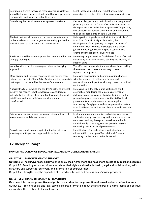| Definition, different forms and reasons of sexual violence<br>should be known; the level of individual knowledge, level of<br>responsibility and awareness should be raised                                                                                      | Legal, local and institutional regulations, regular<br>campaigns to combat different forms of sexual violence                                                                                                                                                                                                                                                                                                |
|------------------------------------------------------------------------------------------------------------------------------------------------------------------------------------------------------------------------------------------------------------------|--------------------------------------------------------------------------------------------------------------------------------------------------------------------------------------------------------------------------------------------------------------------------------------------------------------------------------------------------------------------------------------------------------------|
| Considering the sexual violence as a preventable issue                                                                                                                                                                                                           | Electoral pledges should be included in the programs of<br>political parties on the forms of sexual violence such as<br>dating violence, sexual violence against LGBTI+ persons,<br>sexual abuse, institutions should form and implement<br>their policy documents on sexual violence                                                                                                                        |
| The fact that sexual violence is considered as a structural<br>problem related to poverty, gender inequality, patriarchal<br>and adult centric social order and heterosexism                                                                                     | Reintegration of gender equality into the curricula of<br>MoNE and Council of Higher Education, the<br>development of anti-poverty strategies, inclusion of<br>studies on sexual violence in strategic plans of local<br>governments, organization of special conferences,<br>events and meetings on sexual violence                                                                                         |
| Survivors should be able to express their needs and be able<br>to enjoy their rights                                                                                                                                                                             | Increasing support services for different forms of sexual<br>violence by local governments, building the capacity of<br>support units                                                                                                                                                                                                                                                                        |
| Inadmissibility of victim blaming and violence justifying<br>approach                                                                                                                                                                                            | The efforts of independent and social media for making<br>the news on sexual violence in a way to have<br>rights-based approach                                                                                                                                                                                                                                                                              |
| More diverse and inclusive reporting in civil society than<br>before, the concept of Rape Crisis Center and the requests in with the requests of civil society in local and<br>that regard to be owned by the women's movement                                   | Increased cooperation and communication channels<br>metropolitan municipalities, although there is a political<br>centralization                                                                                                                                                                                                                                                                             |
| A social structure, in which the children's rights to physical<br>integrity are recognized, the children are considered as<br>individuals, the culture of consent built by mutual respect is<br>established and false beliefs on sexual abuse are<br>transformed | Increasing child-friendly municipalities and child<br>assemblies, monitoring the violations of rights of<br>children, organizing capacity-building trainings on the<br>preventive-protective approach for the staff of local<br>governments, establishment and ensuring the<br>functioning of negligence and abuse prevention units in<br>MoNE affiliated institutions and Guidance and Research<br>Centers. |
| Raising awareness of young persons on different forms of<br>sexual violence and dating violence                                                                                                                                                                  | Implementation of preventive and raising awareness<br>studies for young people going to the schools by school<br>counselors and psychological counselors in schools,<br>youth-friendly counseling services provided in youth<br>counseling centers of local governments                                                                                                                                      |
| Considering sexual violence against animals as violence,<br>adopting an anti-speciesist approach in society                                                                                                                                                      | Identification of sexual violence against animals as<br>crimes within the scope of Turkish Penal Code and<br>reporting studies should be implemented                                                                                                                                                                                                                                                         |

# **3.2 Theory of Change**

#### **IMPACT: REDUCTION OF SEXUAL AND SEXUALIZED VIOLENCE AND ITS EFFECTS**

#### **OBJECTIVE 1: EMPOWERMENT & SUPPORT**

**Outcome 1: The survivors of sexual violence enjoy their rights more and have more access to support and services.** Output 1.1: Providing survivors information about their rights and available health, legal and social services, selfcare, care and support for survivors, and information of empowerment Output 1.2: Strengthening the capacities of related institutions and professionals/service providers

#### **OBJECTIVE 2: TRANSFORMATION & PREVENTION**

**Outcome 1: Increased preventive and protective studies for the prevention of sexual violence before it occurs** Output 1.1: Providing social and legal service experts information about the standards of a rights-based and positive approach in the treatment of sexual violence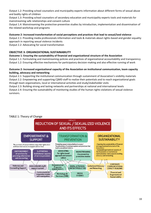Output 1.2: Providing school counselors and municipality experts information about different forms of sexual abuse and bodily rights of children

Output 1.3: Providing school counselors of secondary education and municipality experts tools and materials for mainstreaming safe relationships and consent culture

Output 1.4: Mainstreaming the protective-preventive studies by introduction, implementation and dissemination of the related workshop and programs

#### **Outcome 2: Increased transformation of social perceptions and practices that lead to sexual/ized violence**

Output 2.1: Providing media professionals information and tools & materials about rights-based and gender-equality approach in reporting sexual violence incidents

Output 2.2: Advocating for social transformation

#### **OBJECTIVE 3: ORGANIZATIONAL SUSTAINABILITY**

#### **Outcome 1: Ensuring the sustainability of financial and organizational structure of the Association**

Output 1.1: Formulating and mainstreaming policies and practices of organizational accountability and transparency Output 1.2: Ensuring effective mechanisms for participatory decision-making and also effective running of work

#### **Outcome 2: Increased organizational capacity of the Association on institutional communication, team capacity building, advocacy and networking**

Output 2.1: Supporting the institutional communication through sustainment of Association's visibility materials Output 2.2: Empowering and supporting CŞMD staff to realize their potentials and to reach organizational goals through team organizations, local or international activities and study/stakeholder visits

Output 2.3: Building strong and lasting networks and partnerships at national and international levels Output 2.4: Ensuring the sustainability of monitoring studies of the human rights violations of sexual violence survivors.



#### TABLE 1: Theory of Change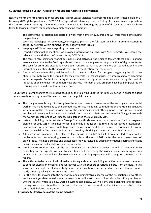#### **COVID RESPONSE BY CŞMD - Association for Struggle Against Sexual Violence**

Nearly a month after the Association for Struggle Against Sexual Violence has presented its 3-year strategic plan on 17 February 2020, global pandemic of COVID-19 has spread with alarming speed in Turkey. As the coronavirus spreads in the country, voluntary self-quarantine measures are imposed for blocking the spread of disease. As CŞMD, we have taken following measures for adapting to rapidly changing conditions:

- The staff of the Association has started to work from home on 12 March and will work from home during the pandemic.
- We have developed an emergency/contingency plan as the full team and built a communication & solidarity network within ourselves in case of any health issues.
- We prepared 2 info sheets regarding our measures.
- By participating online meetings, we provided information on CSMD with NGO networks. We shared the relevant data with them before and during COVID-19.
- The face-to-face seminars, workshops, panels and activities, the visits to foreign stakeholders planned were canceled due to the Covid agenda and the priority was given to the production of digital contents. The costs for prints and distribution have been reduced as much as possible. We postponed attending the international meetings to the second year, except for litigation-trial monitoring.
- A series of awareness-raising articles and podcasts were produced for the agenda regarding the bill of law about penal system and the impunity for the perpetrators of sexual abuse. Live broadcasts were organized with the experts. Content on dating violence focused on digital forms of violence during this period. Practices of online university seminars have started. The team of this program have been empowered by learning about new digital tools and methods.

CŞMD has brought changes to its existing studies by the following updates for 2021-23 period in order to adopt an approach for taking care of its own staff and for the public health:

- The changes were brought to strengthen the support team and we ensured the employment of a social worker. We made revisions to the planned face-to-face meetings, communication and training activities with municipalities, support service staff of the municipalities and other support service providers, and we planned these as online meetings to be held until the end of 2021 and we revised 3 Change Starts with Me workshops into online workshops. We postponed the municipality visits.
- Instead of holding the face-to-face Change Starts with Me workshops and the dissemination programs planned for 2020-21; It is planned to continue online productions, to revise the workshop presentations in accordance with the online tools, to prepare the workshop modules in the written format and to ensure their sustainability. The online seminars are started by abridging Change Starts with Me contents.
- Although it was planned to hold face-to-face activities in 2022 and 23, it was decided to review the implementation tools of raising awareness activities at the end of 2021, after the impact assessment of online tools. The media studies and digital activism was revised by adding information sharing and event activities via new media platforms and social media.
- We hope to conduct most of the organizational sustainability activities via online meetings while consulting to the experts. We plan to keep track and monitoring the Association's accounting records within the Association and we plan to employ an Accounting expert who will strengthen the team in this regard.
- The activities to be held as institutional monitoring and capacity building activities require team members to conduct discussion meetings and workshops with the support of various experts from the field. In this sense, we have not canceled our study camps, which we have concentrated on, and we plan to conduct study camps by taking all necessary measures.
- For the costs for moving into the new office and administrative expenses of the Association's new office, we have not yet determined when the Association will start to work physically in its office premises or whether it will switch to a new working system completely. We will carry out a planning and decisionmaking process on this matter by the end of the year. However, we do not anticipate a full return to the office work before January 2021.

**Efficiency & Effectiveness of the online activities**